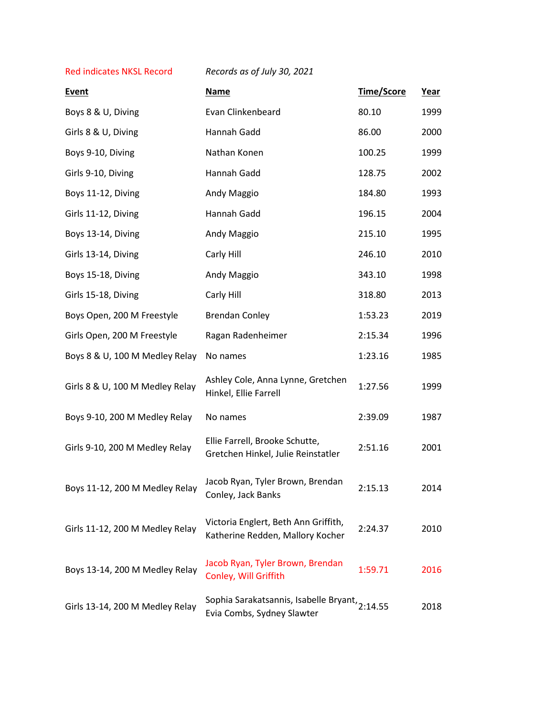Red indicates NKSL Record *Records as of July 30, 2021*

| <b>Event</b>                    | <b>Name</b>                                                                  | Time/Score | <u>Year</u> |
|---------------------------------|------------------------------------------------------------------------------|------------|-------------|
| Boys 8 & U, Diving              | Evan Clinkenbeard                                                            | 80.10      | 1999        |
| Girls 8 & U, Diving             | Hannah Gadd                                                                  | 86.00      | 2000        |
| Boys 9-10, Diving               | Nathan Konen                                                                 | 100.25     | 1999        |
| Girls 9-10, Diving              | Hannah Gadd                                                                  | 128.75     | 2002        |
| Boys 11-12, Diving              | Andy Maggio                                                                  | 184.80     | 1993        |
| Girls 11-12, Diving             | Hannah Gadd                                                                  | 196.15     | 2004        |
| Boys 13-14, Diving              | Andy Maggio                                                                  | 215.10     | 1995        |
| Girls 13-14, Diving             | Carly Hill                                                                   | 246.10     | 2010        |
| Boys 15-18, Diving              | Andy Maggio                                                                  | 343.10     | 1998        |
| Girls 15-18, Diving             | Carly Hill                                                                   | 318.80     | 2013        |
| Boys Open, 200 M Freestyle      | <b>Brendan Conley</b>                                                        | 1:53.23    | 2019        |
| Girls Open, 200 M Freestyle     | Ragan Radenheimer                                                            | 2:15.34    | 1996        |
| Boys 8 & U, 100 M Medley Relay  | No names                                                                     | 1:23.16    | 1985        |
| Girls 8 & U, 100 M Medley Relay | Ashley Cole, Anna Lynne, Gretchen<br>Hinkel, Ellie Farrell                   | 1:27.56    | 1999        |
| Boys 9-10, 200 M Medley Relay   | No names                                                                     | 2:39.09    | 1987        |
| Girls 9-10, 200 M Medley Relay  | Ellie Farrell, Brooke Schutte,<br>Gretchen Hinkel, Julie Reinstatler         | 2:51.16    | 2001        |
| Boys 11-12, 200 M Medley Relay  | Jacob Ryan, Tyler Brown, Brendan<br>Conley, Jack Banks                       | 2:15.13    | 2014        |
| Girls 11-12, 200 M Medley Relay | Victoria Englert, Beth Ann Griffith,<br>Katherine Redden, Mallory Kocher     | 2:24.37    | 2010        |
| Boys 13-14, 200 M Medley Relay  | Jacob Ryan, Tyler Brown, Brendan<br>Conley, Will Griffith                    | 1:59.71    | 2016        |
| Girls 13-14, 200 M Medley Relay | Sophia Sarakatsannis, Isabelle Bryant, 2:14.55<br>Evia Combs, Sydney Slawter |            | 2018        |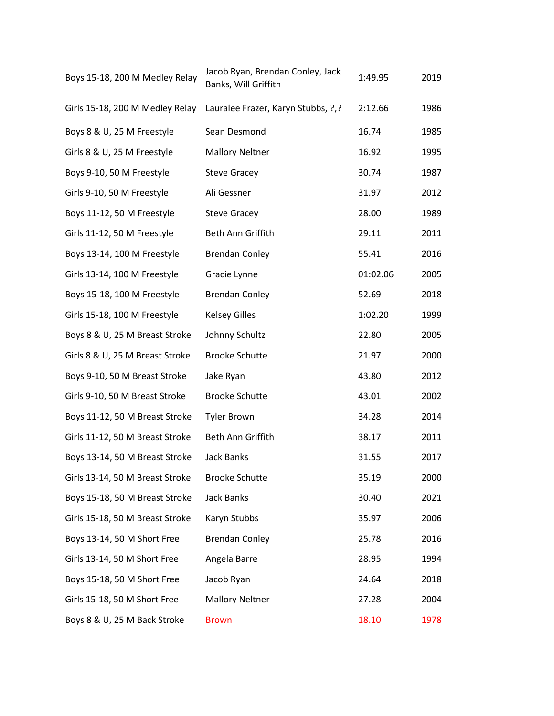| Boys 15-18, 200 M Medley Relay  | Jacob Ryan, Brendan Conley, Jack<br>Banks, Will Griffith | 1:49.95  | 2019 |
|---------------------------------|----------------------------------------------------------|----------|------|
| Girls 15-18, 200 M Medley Relay | Lauralee Frazer, Karyn Stubbs, ?,?                       | 2:12.66  | 1986 |
| Boys 8 & U, 25 M Freestyle      | Sean Desmond                                             | 16.74    | 1985 |
| Girls 8 & U, 25 M Freestyle     | <b>Mallory Neltner</b>                                   | 16.92    | 1995 |
| Boys 9-10, 50 M Freestyle       | <b>Steve Gracey</b>                                      | 30.74    | 1987 |
| Girls 9-10, 50 M Freestyle      | Ali Gessner                                              | 31.97    | 2012 |
| Boys 11-12, 50 M Freestyle      | <b>Steve Gracey</b>                                      | 28.00    | 1989 |
| Girls 11-12, 50 M Freestyle     | Beth Ann Griffith                                        | 29.11    | 2011 |
| Boys 13-14, 100 M Freestyle     | <b>Brendan Conley</b>                                    | 55.41    | 2016 |
| Girls 13-14, 100 M Freestyle    | Gracie Lynne                                             | 01:02.06 | 2005 |
| Boys 15-18, 100 M Freestyle     | <b>Brendan Conley</b>                                    | 52.69    | 2018 |
| Girls 15-18, 100 M Freestyle    | <b>Kelsey Gilles</b>                                     | 1:02.20  | 1999 |
| Boys 8 & U, 25 M Breast Stroke  | Johnny Schultz                                           | 22.80    | 2005 |
| Girls 8 & U, 25 M Breast Stroke | <b>Brooke Schutte</b>                                    | 21.97    | 2000 |
| Boys 9-10, 50 M Breast Stroke   | Jake Ryan                                                | 43.80    | 2012 |
| Girls 9-10, 50 M Breast Stroke  | <b>Brooke Schutte</b>                                    | 43.01    | 2002 |
| Boys 11-12, 50 M Breast Stroke  | <b>Tyler Brown</b>                                       | 34.28    | 2014 |
| Girls 11-12, 50 M Breast Stroke | Beth Ann Griffith                                        | 38.17    | 2011 |
| Boys 13-14, 50 M Breast Stroke  | <b>Jack Banks</b>                                        | 31.55    | 2017 |
| Girls 13-14, 50 M Breast Stroke | <b>Brooke Schutte</b>                                    | 35.19    | 2000 |
| Boys 15-18, 50 M Breast Stroke  | <b>Jack Banks</b>                                        | 30.40    | 2021 |
| Girls 15-18, 50 M Breast Stroke | Karyn Stubbs                                             | 35.97    | 2006 |
| Boys 13-14, 50 M Short Free     | <b>Brendan Conley</b>                                    | 25.78    | 2016 |
| Girls 13-14, 50 M Short Free    | Angela Barre                                             | 28.95    | 1994 |
| Boys 15-18, 50 M Short Free     | Jacob Ryan                                               | 24.64    | 2018 |
| Girls 15-18, 50 M Short Free    | <b>Mallory Neltner</b>                                   | 27.28    | 2004 |
| Boys 8 & U, 25 M Back Stroke    | <b>Brown</b>                                             | 18.10    | 1978 |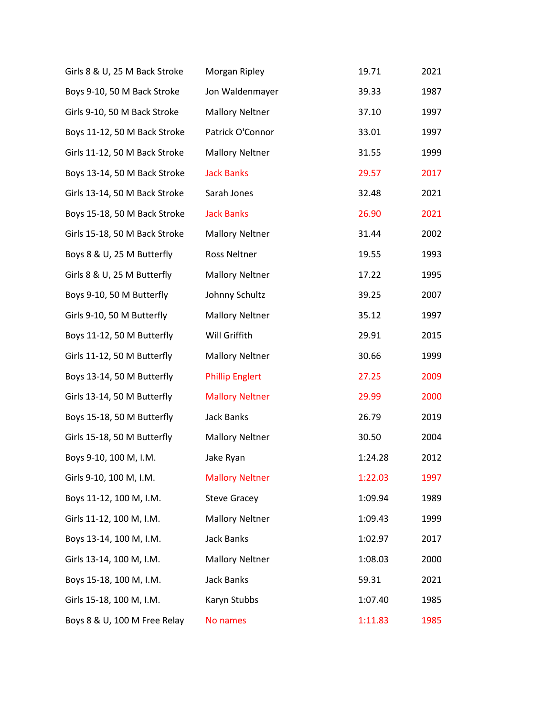| Girls 8 & U, 25 M Back Stroke | Morgan Ripley          | 19.71   | 2021 |
|-------------------------------|------------------------|---------|------|
| Boys 9-10, 50 M Back Stroke   | Jon Waldenmayer        | 39.33   | 1987 |
| Girls 9-10, 50 M Back Stroke  | <b>Mallory Neltner</b> | 37.10   | 1997 |
| Boys 11-12, 50 M Back Stroke  | Patrick O'Connor       | 33.01   | 1997 |
| Girls 11-12, 50 M Back Stroke | <b>Mallory Neltner</b> | 31.55   | 1999 |
| Boys 13-14, 50 M Back Stroke  | <b>Jack Banks</b>      | 29.57   | 2017 |
| Girls 13-14, 50 M Back Stroke | Sarah Jones            | 32.48   | 2021 |
| Boys 15-18, 50 M Back Stroke  | <b>Jack Banks</b>      | 26.90   | 2021 |
| Girls 15-18, 50 M Back Stroke | <b>Mallory Neltner</b> | 31.44   | 2002 |
| Boys 8 & U, 25 M Butterfly    | Ross Neltner           | 19.55   | 1993 |
| Girls 8 & U, 25 M Butterfly   | <b>Mallory Neltner</b> | 17.22   | 1995 |
| Boys 9-10, 50 M Butterfly     | Johnny Schultz         | 39.25   | 2007 |
| Girls 9-10, 50 M Butterfly    | <b>Mallory Neltner</b> | 35.12   | 1997 |
| Boys 11-12, 50 M Butterfly    | Will Griffith          | 29.91   | 2015 |
| Girls 11-12, 50 M Butterfly   | <b>Mallory Neltner</b> | 30.66   | 1999 |
| Boys 13-14, 50 M Butterfly    | <b>Phillip Englert</b> | 27.25   | 2009 |
| Girls 13-14, 50 M Butterfly   | <b>Mallory Neltner</b> | 29.99   | 2000 |
| Boys 15-18, 50 M Butterfly    | <b>Jack Banks</b>      | 26.79   | 2019 |
| Girls 15-18, 50 M Butterfly   | <b>Mallory Neltner</b> | 30.50   | 2004 |
| Boys 9-10, 100 M, I.M.        | Jake Ryan              | 1:24.28 | 2012 |
| Girls 9-10, 100 M, I.M.       | <b>Mallory Neltner</b> | 1:22.03 | 1997 |
| Boys 11-12, 100 M, I.M.       | <b>Steve Gracey</b>    | 1:09.94 | 1989 |
| Girls 11-12, 100 M, I.M.      | <b>Mallory Neltner</b> | 1:09.43 | 1999 |
| Boys 13-14, 100 M, I.M.       | <b>Jack Banks</b>      | 1:02.97 | 2017 |
| Girls 13-14, 100 M, I.M.      | <b>Mallory Neltner</b> | 1:08.03 | 2000 |
| Boys 15-18, 100 M, I.M.       | <b>Jack Banks</b>      | 59.31   | 2021 |
| Girls 15-18, 100 M, I.M.      | Karyn Stubbs           | 1:07.40 | 1985 |
| Boys 8 & U, 100 M Free Relay  | No names               | 1:11.83 | 1985 |